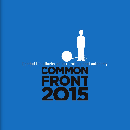## **Books** Combat the attacks on our professional autonomy COMMON FRONT 2015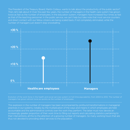The President of the Treasury Board, Martin Coiteux, wants to talk about the productivity of the public sector? Then, let's talk about it! Over the past few years, the number of managers in the health care system has grown twice as fast as the number of employees. In the education system, managers have increased four times as fast as that of the teaching personnel. In the public service, we can't help but take note that most service counters and direct contact with our fellow citizens are being scaled back, if not completely eliminated, while the number of managers just doesn't stop snowballing.



Evolution of the work force in the health and social services system (in full-time equivalents), from 2004 to 2012. The number of managers has grown almost twice as quickly as the number of employees.

This explosion in the number of managers has been accompanied by profound transformations in managerial practices in our systems, notably by the multiplication of the ways and means in which employees are held accountable and the administrative controls over the work they perform. The latter must now devote an increasingly greater proportion of their work time to filling out reports and calculating statistics pertaining to their interventions, all this to the attention of a growing number of managers. So many working hours that are thus not devoted to providing direct services to the population.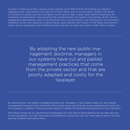It doesn't make sense that a social worker spends up to 30% of their time filling out statistics regarding their interventions and reports to their higher ups. In the education system, the desire to introduce a quality assurance program could have a major impact upon teacher autonomy, by imposing standardization requirements that would threaten the wealth and diversity of the various pedagogical approaches used. In the Ministries with a social mission, the introduction of quantitative indicators as the sole measure of performance vastly distorts the mission of the State and prevents public service employees from finding the best solution to meet the needs of their fellow citizens.

> By adopting the new public management doctrine, managers in our systems have cut and pasted management practices that come from the private sector and that are poorly adapted and costly for the taxpayer.

By adopting the new public management doctrine, managers in our systems have cut and pasted management practices that come from the private sector and that are poorly adapted and costly for the taxpayer. In addition, these practices directly threaten the professional autonomy of our members.

We should simply let our government employees do what they're being paid to do: provide services to the population. It is high time that the professional autonomy that our work teams need to do their jobs be properly restored to them.